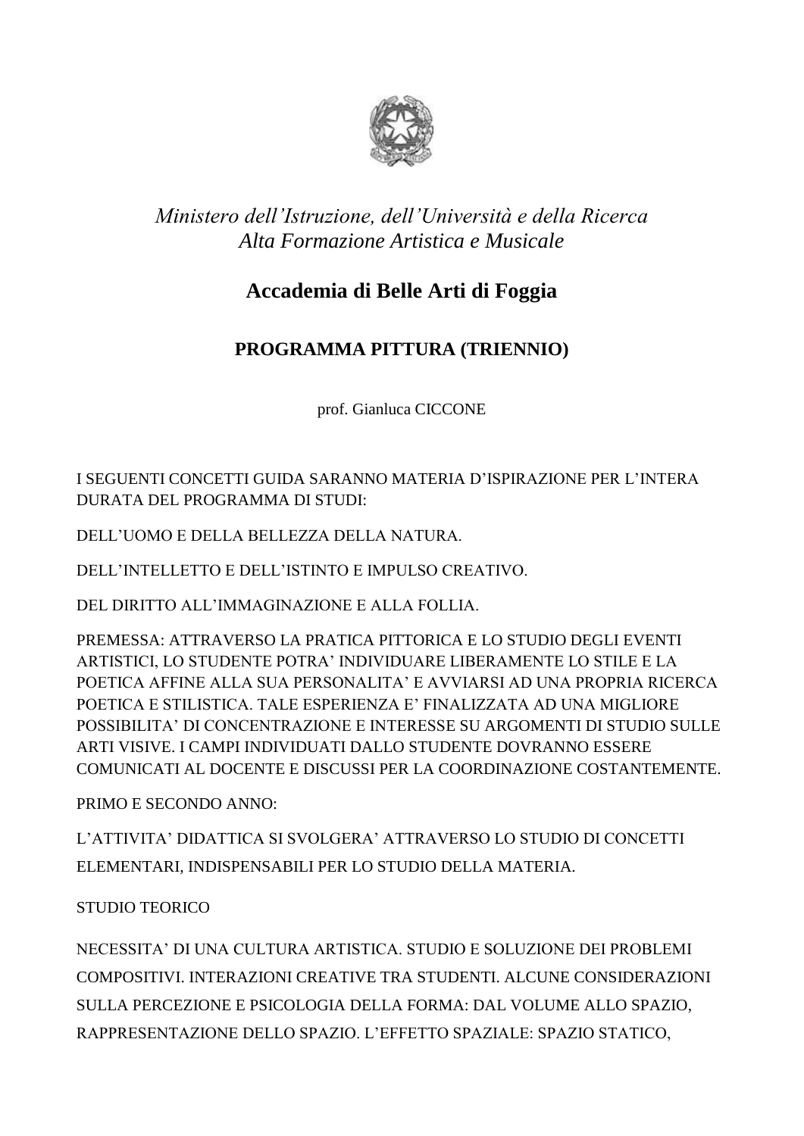

## *Ministero dell'Istruzione, dell'Università e della Ricerca Alta Formazione Artistica e Musicale*

## **Accademia di Belle Arti di Foggia**

## **PROGRAMMA PITTURA (TRIENNIO)**

prof. Gianluca CICCONE

I SEGUENTI CONCETTI GUIDA SARANNO MATERIA D'ISPIRAZIONE PER L'INTERA DURATA DEL PROGRAMMA DI STUDI:

DELL'UOMO E DELLA BELLEZZA DELLA NATURA.

DELL'INTELLETTO E DELL'ISTINTO E IMPULSO CREATIVO.

DEL DIRITTO ALL'IMMAGINAZIONE E ALLA FOLLIA.

PREMESSA: ATTRAVERSO LA PRATICA PITTORICA E LO STUDIO DEGLI EVENTI ARTISTICI, LO STUDENTE POTRA' INDIVIDUARE LIBERAMENTE LO STILE E LA POETICA AFFINE ALLA SUA PERSONALITA' E AVVIARSI AD UNA PROPRIA RICERCA POETICA E STILISTICA. TALE ESPERIENZA E' FINALIZZATA AD UNA MIGLIORE POSSIBILITA' DI CONCENTRAZIONE E INTERESSE SU ARGOMENTI DI STUDIO SULLE ARTI VISIVE. I CAMPI INDIVIDUATI DALLO STUDENTE DOVRANNO ESSERE COMUNICATI AL DOCENTE E DISCUSSI PER LA COORDINAZIONE COSTANTEMENTE.

PRIMO E SECONDO ANNO:

L'ATTIVITA' DIDATTICA SI SVOLGERA' ATTRAVERSO LO STUDIO DI CONCETTI ELEMENTARI, INDISPENSABILI PER LO STUDIO DELLA MATERIA.

STUDIO TEORICO

NECESSITA' DI UNA CULTURA ARTISTICA. STUDIO E SOLUZIONE DEI PROBLEMI COMPOSITIVI. INTERAZIONI CREATIVE TRA STUDENTI. ALCUNE CONSIDERAZIONI SULLA PERCEZIONE E PSICOLOGIA DELLA FORMA: DAL VOLUME ALLO SPAZIO, RAPPRESENTAZIONE DELLO SPAZIO. L'EFFETTO SPAZIALE: SPAZIO STATICO,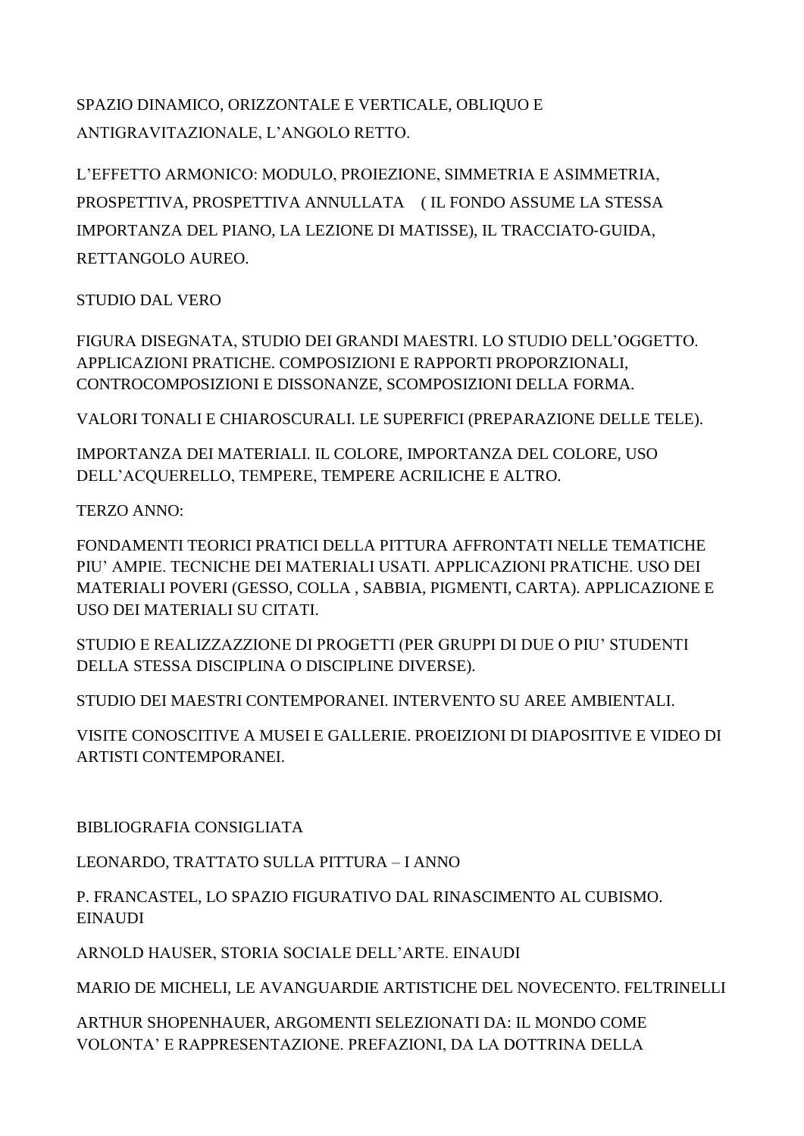SPAZIO DINAMICO, ORIZZONTALE E VERTICALE, OBLIQUO E ANTIGRAVITAZIONALE, L'ANGOLO RETTO.

L'EFFETTO ARMONICO: MODULO, PROIEZIONE, SIMMETRIA E ASIMMETRIA, PROSPETTIVA, PROSPETTIVA ANNULLATA ( IL FONDO ASSUME LA STESSA IMPORTANZA DEL PIANO, LA LEZIONE DI MATISSE), IL TRACCIATO‐GUIDA, RETTANGOLO AUREO.

STUDIO DAL VERO

FIGURA DISEGNATA, STUDIO DEI GRANDI MAESTRI. LO STUDIO DELL'OGGETTO. APPLICAZIONI PRATICHE. COMPOSIZIONI E RAPPORTI PROPORZIONALI, CONTROCOMPOSIZIONI E DISSONANZE, SCOMPOSIZIONI DELLA FORMA.

VALORI TONALI E CHIAROSCURALI. LE SUPERFICI (PREPARAZIONE DELLE TELE).

IMPORTANZA DEI MATERIALI. IL COLORE, IMPORTANZA DEL COLORE, USO DELL'ACQUERELLO, TEMPERE, TEMPERE ACRILICHE E ALTRO.

TERZO ANNO:

FONDAMENTI TEORICI PRATICI DELLA PITTURA AFFRONTATI NELLE TEMATICHE PIU' AMPIE. TECNICHE DEI MATERIALI USATI. APPLICAZIONI PRATICHE. USO DEI MATERIALI POVERI (GESSO, COLLA , SABBIA, PIGMENTI, CARTA). APPLICAZIONE E USO DEI MATERIALI SU CITATI.

STUDIO E REALIZZAZZIONE DI PROGETTI (PER GRUPPI DI DUE O PIU' STUDENTI DELLA STESSA DISCIPLINA O DISCIPLINE DIVERSE).

STUDIO DEI MAESTRI CONTEMPORANEI. INTERVENTO SU AREE AMBIENTALI.

VISITE CONOSCITIVE A MUSEI E GALLERIE. PROEIZIONI DI DIAPOSITIVE E VIDEO DI ARTISTI CONTEMPORANEI.

BIBLIOGRAFIA CONSIGLIATA

LEONARDO, TRATTATO SULLA PITTURA – I ANNO

P. FRANCASTEL, LO SPAZIO FIGURATIVO DAL RINASCIMENTO AL CUBISMO. EINAUDI

ARNOLD HAUSER, STORIA SOCIALE DELL'ARTE. EINAUDI

MARIO DE MICHELI, LE AVANGUARDIE ARTISTICHE DEL NOVECENTO. FELTRINELLI

ARTHUR SHOPENHAUER, ARGOMENTI SELEZIONATI DA: IL MONDO COME VOLONTA' E RAPPRESENTAZIONE. PREFAZIONI, DA LA DOTTRINA DELLA